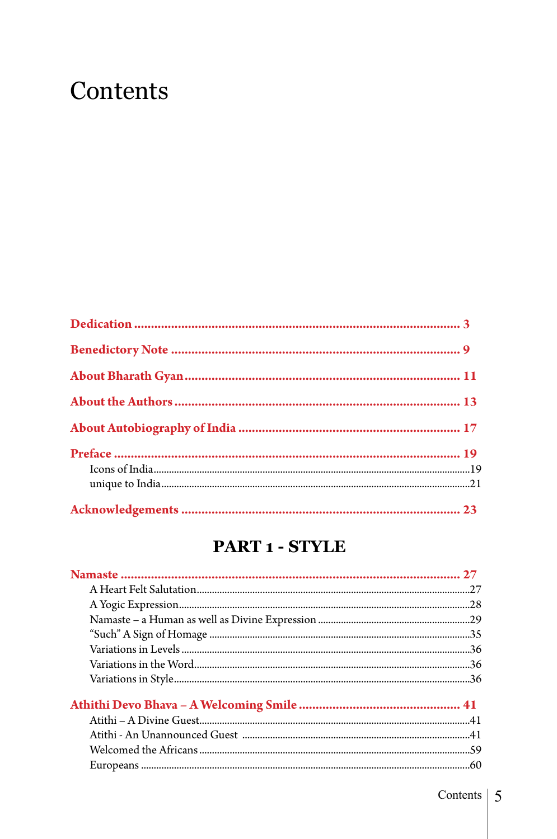# Contents

#### PART 1 - STYLE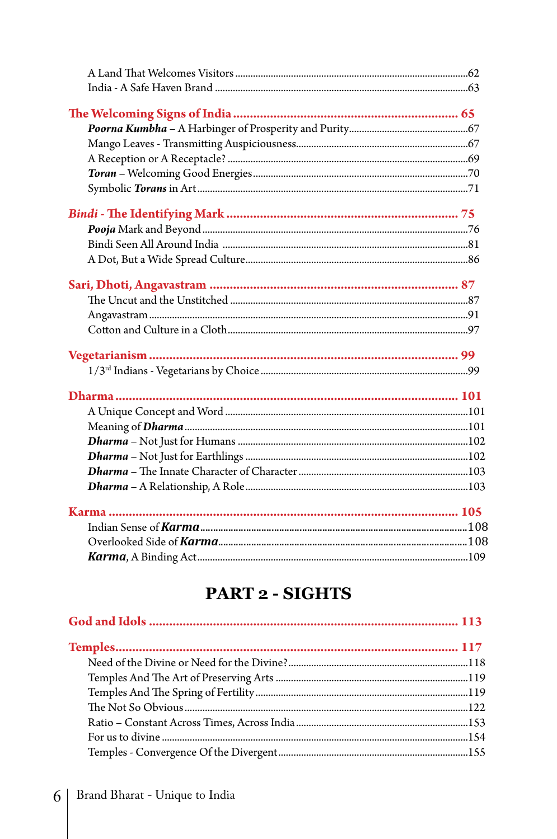#### **PART 2 - SIGHTS**